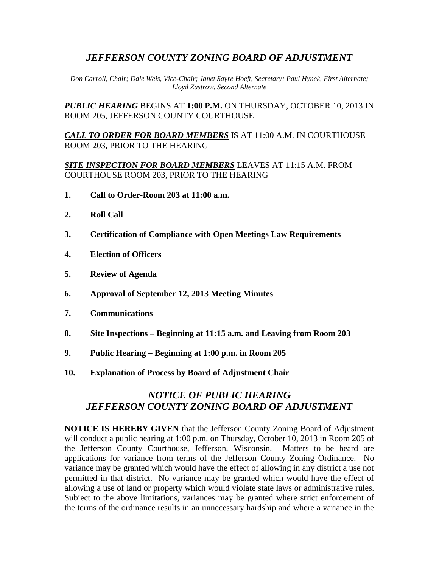## *JEFFERSON COUNTY ZONING BOARD OF ADJUSTMENT*

*Don Carroll, Chair; Dale Weis, Vice-Chair; Janet Sayre Hoeft, Secretary; Paul Hynek, First Alternate; Lloyd Zastrow, Second Alternate*

*PUBLIC HEARING* BEGINS AT **1:00 P.M.** ON THURSDAY, OCTOBER 10, 2013 IN ROOM 205, JEFFERSON COUNTY COURTHOUSE

*CALL TO ORDER FOR BOARD MEMBERS* IS AT 11:00 A.M. IN COURTHOUSE ROOM 203, PRIOR TO THE HEARING

*SITE INSPECTION FOR BOARD MEMBERS* LEAVES AT 11:15 A.M. FROM COURTHOUSE ROOM 203, PRIOR TO THE HEARING

- **1. Call to Order-Room 203 at 11:00 a.m.**
- **2. Roll Call**
- **3. Certification of Compliance with Open Meetings Law Requirements**
- **4. Election of Officers**
- **5. Review of Agenda**
- **6. Approval of September 12, 2013 Meeting Minutes**
- **7. Communications**
- **8. Site Inspections – Beginning at 11:15 a.m. and Leaving from Room 203**
- **9. Public Hearing – Beginning at 1:00 p.m. in Room 205**
- **10. Explanation of Process by Board of Adjustment Chair**

# *NOTICE OF PUBLIC HEARING JEFFERSON COUNTY ZONING BOARD OF ADJUSTMENT*

**NOTICE IS HEREBY GIVEN** that the Jefferson County Zoning Board of Adjustment will conduct a public hearing at 1:00 p.m. on Thursday, October 10, 2013 in Room 205 of the Jefferson County Courthouse, Jefferson, Wisconsin. Matters to be heard are applications for variance from terms of the Jefferson County Zoning Ordinance. No variance may be granted which would have the effect of allowing in any district a use not permitted in that district. No variance may be granted which would have the effect of allowing a use of land or property which would violate state laws or administrative rules. Subject to the above limitations, variances may be granted where strict enforcement of the terms of the ordinance results in an unnecessary hardship and where a variance in the